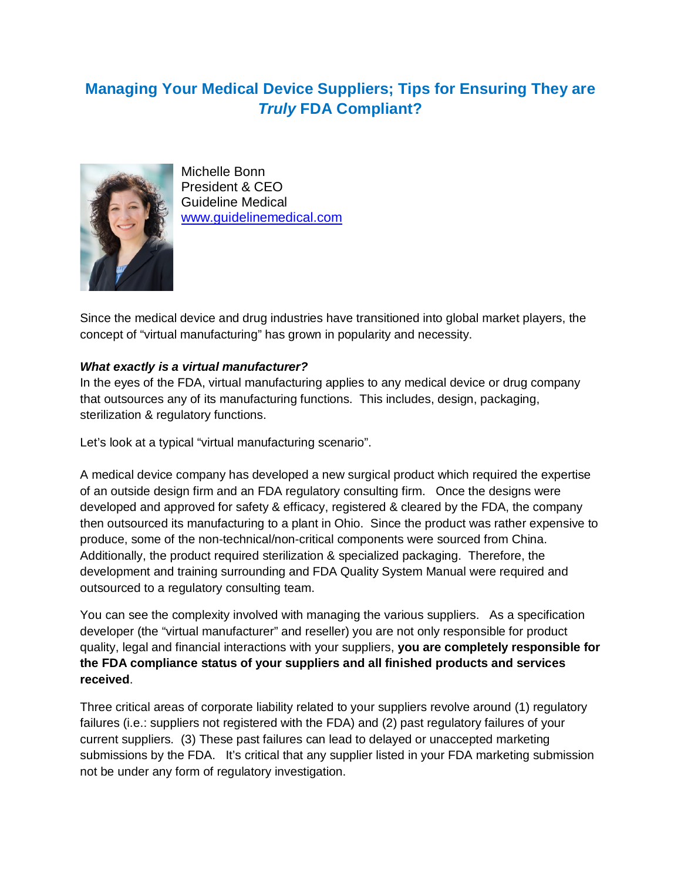# **Managing Your Medical Device Suppliers; Tips for Ensuring They are**  *Truly* **FDA Compliant?**



Michelle Bonn President & CEO Guideline Medical [www.guidelinemedical.com](http://www.guidelinemedical.com/)

Since the medical device and drug industries have transitioned into global market players, the concept of "virtual manufacturing" has grown in popularity and necessity.

# *What exactly is a virtual manufacturer?*

In the eyes of the FDA, virtual manufacturing applies to any medical device or drug company that outsources any of its manufacturing functions. This includes, design, packaging, sterilization & regulatory functions.

Let's look at a typical "virtual manufacturing scenario".

A medical device company has developed a new surgical product which required the expertise of an outside design firm and an FDA regulatory consulting firm. Once the designs were developed and approved for safety & efficacy, registered & cleared by the FDA, the company then outsourced its manufacturing to a plant in Ohio. Since the product was rather expensive to produce, some of the non-technical/non-critical components were sourced from China. Additionally, the product required sterilization & specialized packaging. Therefore, the development and training surrounding and FDA Quality System Manual were required and outsourced to a regulatory consulting team.

You can see the complexity involved with managing the various suppliers. As a specification developer (the "virtual manufacturer" and reseller) you are not only responsible for product quality, legal and financial interactions with your suppliers, **you are completely responsible for the FDA compliance status of your suppliers and all finished products and services received**.

Three critical areas of corporate liability related to your suppliers revolve around (1) regulatory failures (i.e.: suppliers not registered with the FDA) and (2) past regulatory failures of your current suppliers. (3) These past failures can lead to delayed or unaccepted marketing submissions by the FDA. It's critical that any supplier listed in your FDA marketing submission not be under any form of regulatory investigation.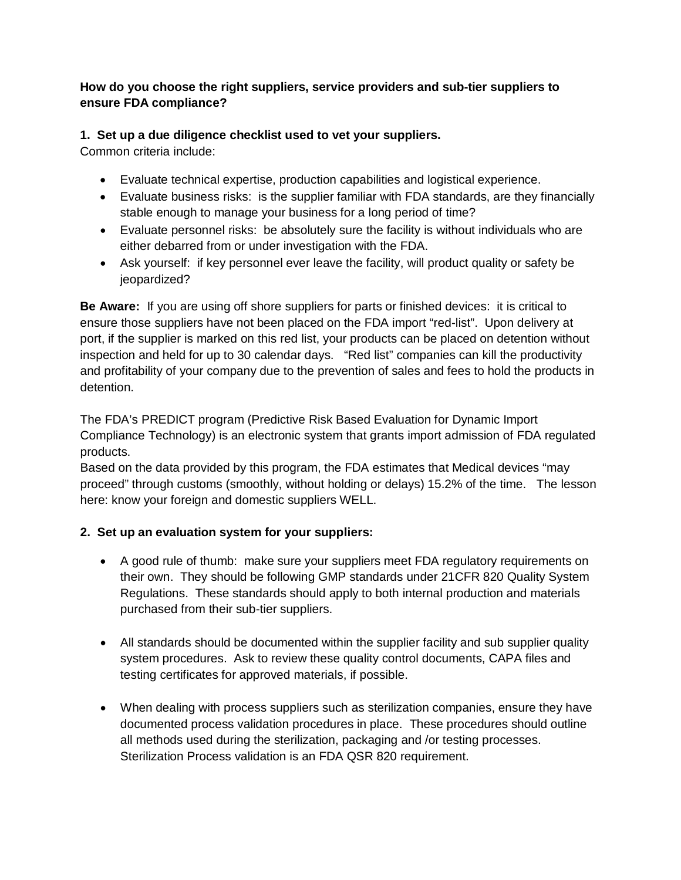# **How do you choose the right suppliers, service providers and sub-tier suppliers to ensure FDA compliance?**

# **1. Set up a due diligence checklist used to vet your suppliers.**

Common criteria include:

- Evaluate technical expertise, production capabilities and logistical experience.
- Evaluate business risks: is the supplier familiar with FDA standards, are they financially stable enough to manage your business for a long period of time?
- Evaluate personnel risks: be absolutely sure the facility is without individuals who are either debarred from or under investigation with the FDA.
- Ask yourself: if key personnel ever leave the facility, will product quality or safety be jeopardized?

**Be Aware:** If you are using off shore suppliers for parts or finished devices: it is critical to ensure those suppliers have not been placed on the FDA import "red-list". Upon delivery at port, if the supplier is marked on this red list, your products can be placed on detention without inspection and held for up to 30 calendar days. "Red list" companies can kill the productivity and profitability of your company due to the prevention of sales and fees to hold the products in detention.

The FDA's PREDICT program (Predictive Risk Based Evaluation for Dynamic Import Compliance Technology) is an electronic system that grants import admission of FDA regulated products.

Based on the data provided by this program, the FDA estimates that Medical devices "may proceed" through customs (smoothly, without holding or delays) 15.2% of the time. The lesson here: know your foreign and domestic suppliers WELL.

# **2. Set up an evaluation system for your suppliers:**

- A good rule of thumb: make sure your suppliers meet FDA regulatory requirements on their own. They should be following GMP standards under 21CFR 820 Quality System Regulations. These standards should apply to both internal production and materials purchased from their sub-tier suppliers.
- All standards should be documented within the supplier facility and sub supplier quality system procedures. Ask to review these quality control documents, CAPA files and testing certificates for approved materials, if possible.
- When dealing with process suppliers such as sterilization companies, ensure they have documented process validation procedures in place. These procedures should outline all methods used during the sterilization, packaging and /or testing processes. Sterilization Process validation is an FDA QSR 820 requirement.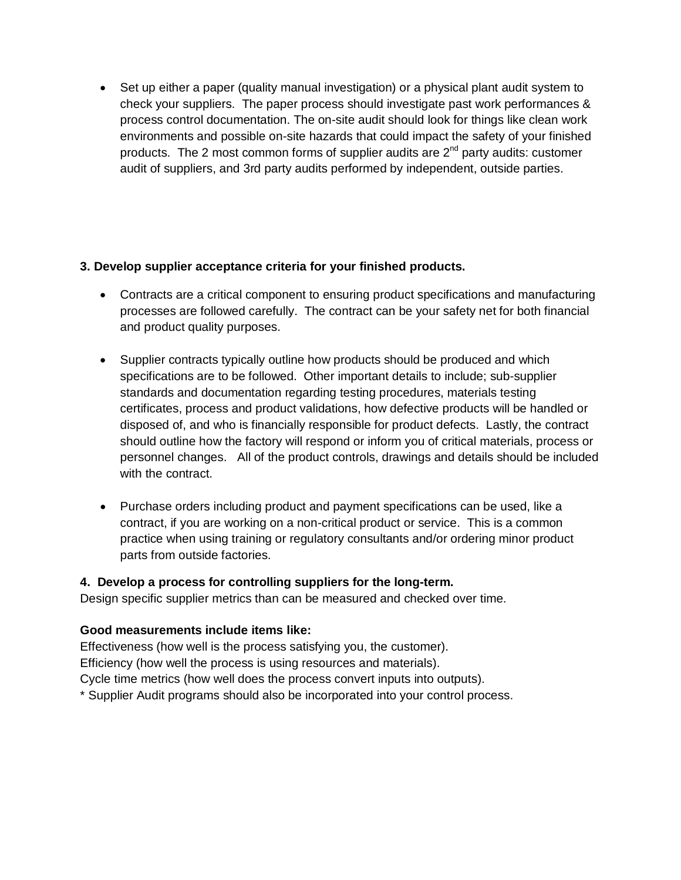• Set up either a paper (quality manual investigation) or a physical plant audit system to check your suppliers. The paper process should investigate past work performances & process control documentation. The on-site audit should look for things like clean work environments and possible on-site hazards that could impact the safety of your finished products. The 2 most common forms of supplier audits are  $2^{nd}$  party audits: customer audit of suppliers, and 3rd party audits performed by independent, outside parties.

#### **3. Develop supplier acceptance criteria for your finished products.**

- Contracts are a critical component to ensuring product specifications and manufacturing processes are followed carefully. The contract can be your safety net for both financial and product quality purposes.
- Supplier contracts typically outline how products should be produced and which specifications are to be followed. Other important details to include; sub-supplier standards and documentation regarding testing procedures, materials testing certificates, process and product validations, how defective products will be handled or disposed of, and who is financially responsible for product defects. Lastly, the contract should outline how the factory will respond or inform you of critical materials, process or personnel changes. All of the product controls, drawings and details should be included with the contract.
- Purchase orders including product and payment specifications can be used, like a contract, if you are working on a non-critical product or service. This is a common practice when using training or regulatory consultants and/or ordering minor product parts from outside factories.

# **4. Develop a process for controlling suppliers for the long-term.**

Design specific supplier metrics than can be measured and checked over time.

# **Good measurements include items like:**

Effectiveness (how well is the process satisfying you, the customer). Efficiency (how well the process is using resources and materials). Cycle time metrics (how well does the process convert inputs into outputs). \* Supplier Audit programs should also be incorporated into your control process.